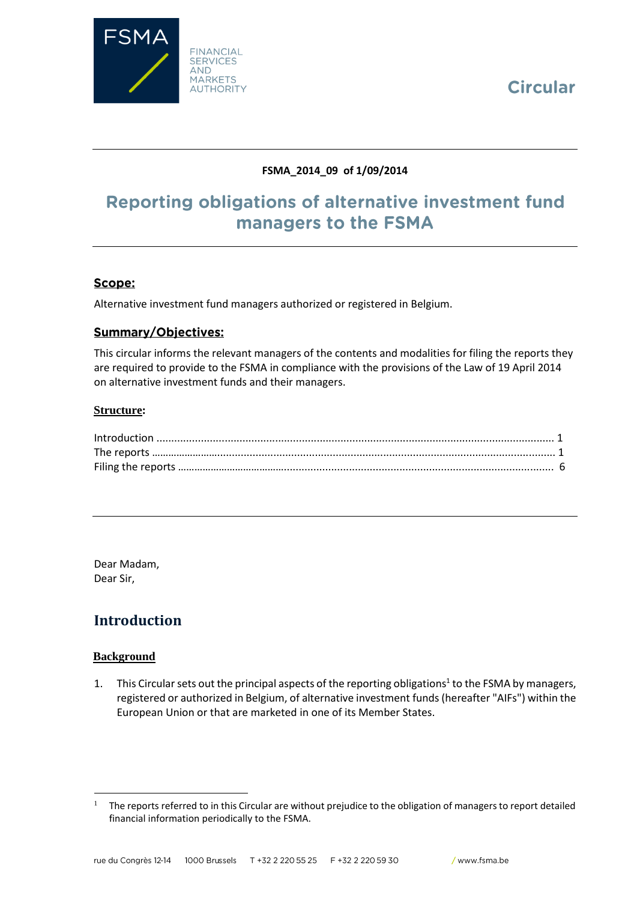



# **FSMA\_2014\_09 of 1/09/2014**

# Reporting obligations of alternative investment fund managers to the FSMA

## Scope:

Alternative investment fund managers authorized or registered in Belgium.

## **Summary/Objectives:**

This circular informs the relevant managers of the contents and modalities for filing the reports they are required to provide to the FSMA in compliance with the provisions of the Law of 19 April 2014 on alternative investment funds and their managers.

#### **Structure:**

| $\label{eq:interadd} \text{Introduction} \,\, \ldots \,\, \ldots \,\, \ldots \,\, \ldots \,\, \ldots \,\, \ldots \,\, \ldots \,\, \ldots \,\, \ldots \,\, \ldots \,\, \ldots \,\, \ldots \,\, \ldots \,\, \ldots \,\, \ldots \,\, \ldots \,\, \ldots \,\, \ldots \,\, \ldots \,\, \ldots \,\, \ldots \,\, \ldots \,\, \ldots \,\, \ldots \,\, \ldots \,\, \ldots \,\, \ldots \,\, \ldots \,\, \ldots \,\, \ldots \,\, \ldots \,\, \ldots \,\, \ldots \,\, \ldots \,\,$ |  |
|------------------------------------------------------------------------------------------------------------------------------------------------------------------------------------------------------------------------------------------------------------------------------------------------------------------------------------------------------------------------------------------------------------------------------------------------------------------------|--|
|                                                                                                                                                                                                                                                                                                                                                                                                                                                                        |  |
|                                                                                                                                                                                                                                                                                                                                                                                                                                                                        |  |

Dear Madam, Dear Sir,

# **Introduction**

#### **Background**

 $\overline{a}$ 

1. This Circular sets out the principal aspects of the reporting obligations<sup>1</sup> to the FSMA by managers, registered or authorized in Belgium, of alternative investment funds (hereafter "AIFs") within the European Union or that are marketed in one of its Member States.

<sup>1</sup> The reports referred to in this Circular are without prejudice to the obligation of managers to report detailed financial information periodically to the FSMA.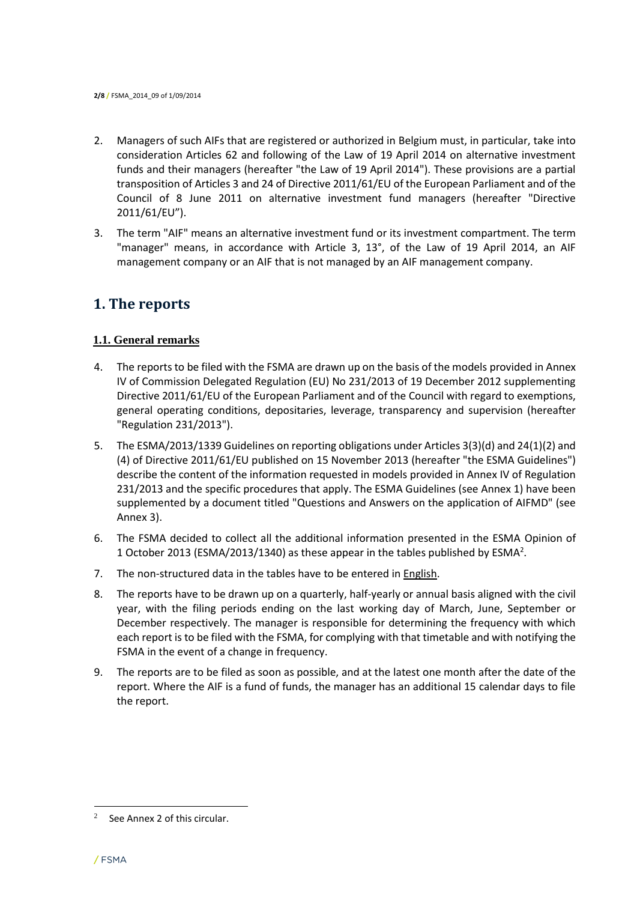- 2. Managers of such AIFs that are registered or authorized in Belgium must, in particular, take into consideration Articles 62 and following of the Law of 19 April 2014 on alternative investment funds and their managers (hereafter "the Law of 19 April 2014"). These provisions are a partial transposition of Articles 3 and 24 of Directive 2011/61/EU of the European Parliament and of the Council of 8 June 2011 on alternative investment fund managers (hereafter "Directive 2011/61/EU").
- 3. The term "AIF" means an alternative investment fund or its investment compartment. The term "manager" means, in accordance with Article 3, 13°, of the Law of 19 April 2014, an AIF management company or an AIF that is not managed by an AIF management company.

# **1. The reports**

## **1.1. General remarks**

- 4. The reports to be filed with the FSMA are drawn up on the basis of the models provided in Annex IV of Commission Delegated Regulation (EU) No 231/2013 of 19 December 2012 supplementing Directive 2011/61/EU of the European Parliament and of the Council with regard to exemptions, general operating conditions, depositaries, leverage, transparency and supervision (hereafter "Regulation 231/2013").
- 5. The ESMA/2013/1339 Guidelines on reporting obligations under Articles 3(3)(d) and 24(1)(2) and (4) of Directive 2011/61/EU published on 15 November 2013 (hereafter "the ESMA Guidelines") describe the content of the information requested in models provided in Annex IV of Regulation 231/2013 and the specific procedures that apply. The ESMA Guidelines (see Annex 1) have been supplemented by a document titled "Questions and Answers on the application of AIFMD" (see Annex 3).
- 6. The FSMA decided to collect all the additional information presented in the ESMA Opinion of 1 October 2013 (ESMA/2013/1340) as these appear in the tables published by ESMA<sup>2</sup>.
- 7. The non-structured data in the tables have to be entered in English.
- 8. The reports have to be drawn up on a quarterly, half-yearly or annual basis aligned with the civil year, with the filing periods ending on the last working day of March, June, September or December respectively. The manager is responsible for determining the frequency with which each report is to be filed with the FSMA, for complying with that timetable and with notifying the FSMA in the event of a change in frequency.
- 9. The reports are to be filed as soon as possible, and at the latest one month after the date of the report. Where the AIF is a fund of funds, the manager has an additional 15 calendar days to file the report.

<sup>2</sup> See Annex 2 of this circular.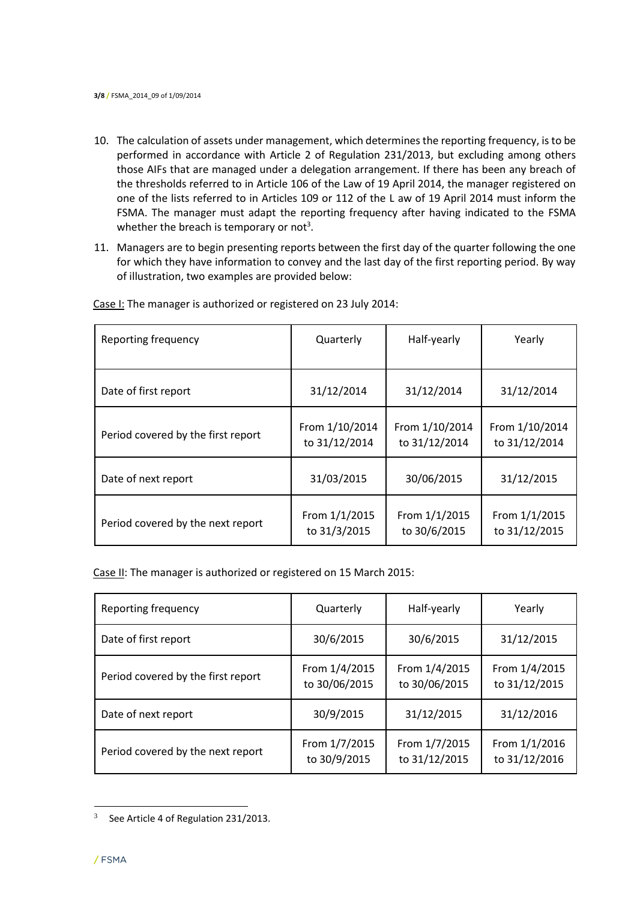- 10. The calculation of assets under management, which determines the reporting frequency, is to be performed in accordance with Article 2 of Regulation 231/2013, but excluding among others those AIFs that are managed under a delegation arrangement. If there has been any breach of the thresholds referred to in Article 106 of the Law of 19 April 2014, the manager registered on one of the lists referred to in Articles 109 or 112 of the L aw of 19 April 2014 must inform the FSMA. The manager must adapt the reporting frequency after having indicated to the FSMA whether the breach is temporary or not<sup>3</sup>.
- 11. Managers are to begin presenting reports between the first day of the quarter following the one for which they have information to convey and the last day of the first reporting period. By way of illustration, two examples are provided below:

| Reporting frequency                | Quarterly                       | Half-yearly                     | Yearly                          |
|------------------------------------|---------------------------------|---------------------------------|---------------------------------|
| Date of first report               | 31/12/2014                      | 31/12/2014                      | 31/12/2014                      |
| Period covered by the first report | From 1/10/2014<br>to 31/12/2014 | From 1/10/2014<br>to 31/12/2014 | From 1/10/2014<br>to 31/12/2014 |
| Date of next report                | 31/03/2015                      | 30/06/2015                      | 31/12/2015                      |
| Period covered by the next report  | From 1/1/2015<br>to 31/3/2015   | From 1/1/2015<br>to 30/6/2015   | From 1/1/2015<br>to 31/12/2015  |

Case I: The manager is authorized or registered on 23 July 2014:

Case II: The manager is authorized or registered on 15 March 2015:

| Reporting frequency                | Quarterly                      | Half-yearly                    | Yearly                         |
|------------------------------------|--------------------------------|--------------------------------|--------------------------------|
| Date of first report               | 30/6/2015                      | 30/6/2015                      | 31/12/2015                     |
| Period covered by the first report | From 1/4/2015<br>to 30/06/2015 | From 1/4/2015<br>to 30/06/2015 | From 1/4/2015<br>to 31/12/2015 |
| Date of next report                | 30/9/2015                      | 31/12/2015                     | 31/12/2016                     |
| Period covered by the next report  | From 1/7/2015<br>to 30/9/2015  | From 1/7/2015<br>to 31/12/2015 | From 1/1/2016<br>to 31/12/2016 |

 $3$  See Article 4 of Regulation 231/2013.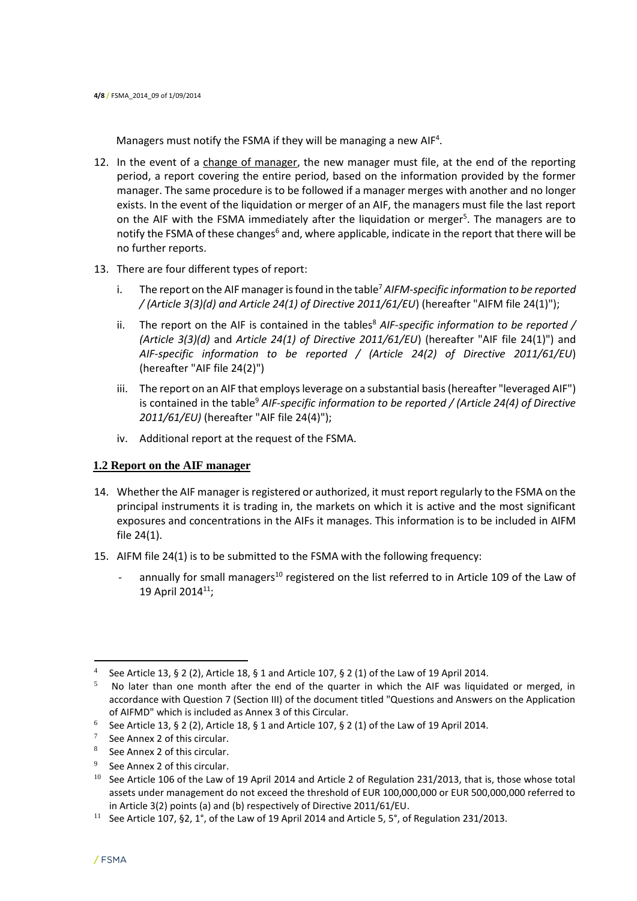Managers must notify the FSMA if they will be managing a new AIF<sup>4</sup>.

- 12. In the event of a change of manager, the new manager must file, at the end of the reporting period, a report covering the entire period, based on the information provided by the former manager. The same procedure is to be followed if a manager merges with another and no longer exists. In the event of the liquidation or merger of an AIF, the managers must file the last report on the AIF with the FSMA immediately after the liquidation or merger<sup>5</sup>. The managers are to notify the FSMA of these changes<sup>6</sup> and, where applicable, indicate in the report that there will be no further reports.
- 13. There are four different types of report:
	- i. The report on the AIF manager is found in the table<sup>7</sup> AIFM-specific information to be reported */ (Article 3(3)(d) and Article 24(1) of Directive 2011/61/EU*) (hereafter "AIFM file 24(1)");
	- ii. The report on the AIF is contained in the tables<sup>8</sup> AIF-specific information to be reported / *(Article 3(3)(d)* and *Article 24(1) of Directive 2011/61/EU*) (hereafter "AIF file 24(1)") and *AIF-specific information to be reported / (Article 24(2) of Directive 2011/61/EU*) (hereafter "AIF file 24(2)")
	- iii. The report on an AIF that employs leverage on a substantial basis (hereafter "leveraged AIF") is contained in the table<sup>9</sup> AIF-specific information to be reported / (Article 24(4) of Directive *2011/61/EU)* (hereafter "AIF file 24(4)");
	- iv. Additional report at the request of the FSMA.

## **1.2 Report on the AIF manager**

- 14. Whether the AIF manager is registered or authorized, it must report regularly to the FSMA on the principal instruments it is trading in, the markets on which it is active and the most significant exposures and concentrations in the AIFs it manages. This information is to be included in AIFM file 24(1).
- 15. AIFM file 24(1) is to be submitted to the FSMA with the following frequency:
	- annually for small managers<sup>10</sup> registered on the list referred to in Article 109 of the Law of 19 April 2014<sup>11</sup>;

- 8 See Annex 2 of this circular.
- 9 See Annex 2 of this circular.

<sup>&</sup>lt;sup>4</sup> See Article 13, § 2 (2), Article 18, § 1 and Article 107, § 2 (1) of the Law of 19 April 2014.

 $5$  No later than one month after the end of the quarter in which the AIF was liquidated or merged, in accordance with Question 7 (Section III) of the document titled "Questions and Answers on the Application of AIFMD" which is included as Annex 3 of this Circular.

<sup>&</sup>lt;sup>6</sup> See Article 13, § 2 (2), Article 18, § 1 and Article 107, § 2 (1) of the Law of 19 April 2014.

<sup>7</sup> See Annex 2 of this circular.

<sup>&</sup>lt;sup>10</sup> See Article 106 of the Law of 19 April 2014 and Article 2 of Regulation 231/2013, that is, those whose total assets under management do not exceed the threshold of EUR 100,000,000 or EUR 500,000,000 referred to in Article 3(2) points (a) and (b) respectively of Directive 2011/61/EU.

<sup>&</sup>lt;sup>11</sup> See Article 107, §2, 1°, of the Law of 19 April 2014 and Article 5, 5°, of Regulation 231/2013.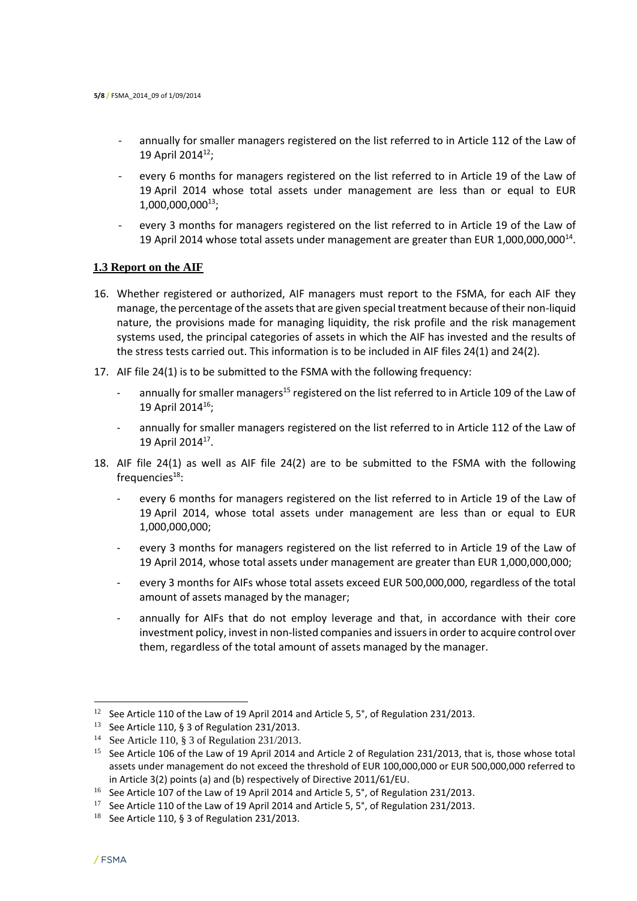- annually for smaller managers registered on the list referred to in Article 112 of the Law of 19 April 2014<sup>12</sup>;
- every 6 months for managers registered on the list referred to in Article 19 of the Law of 19 April 2014 whose total assets under management are less than or equal to EUR 1,000,000,000<sup>13</sup>;
- every 3 months for managers registered on the list referred to in Article 19 of the Law of 19 April 2014 whose total assets under management are greater than EUR 1,000,000,000<sup>14</sup>.

#### **1.3 Report on the AIF**

- 16. Whether registered or authorized, AIF managers must report to the FSMA, for each AIF they manage, the percentage of the assets that are given special treatment because of their non-liquid nature, the provisions made for managing liquidity, the risk profile and the risk management systems used, the principal categories of assets in which the AIF has invested and the results of the stress tests carried out. This information is to be included in AIF files 24(1) and 24(2).
- 17. AIF file 24(1) is to be submitted to the FSMA with the following frequency:
	- annually for smaller managers<sup>15</sup> registered on the list referred to in Article 109 of the Law of 19 April 2014<sup>16</sup>;
	- annually for smaller managers registered on the list referred to in Article 112 of the Law of 19 April 2014<sup>17</sup>.
- 18. AIF file 24(1) as well as AIF file 24(2) are to be submitted to the FSMA with the following frequencies $18$ :
	- every 6 months for managers registered on the list referred to in Article 19 of the Law of 19 April 2014, whose total assets under management are less than or equal to EUR 1,000,000,000;
	- every 3 months for managers registered on the list referred to in Article 19 of the Law of 19 April 2014, whose total assets under management are greater than EUR 1,000,000,000;
	- every 3 months for AIFs whose total assets exceed EUR 500,000,000, regardless of the total amount of assets managed by the manager;
	- annually for AIFs that do not employ leverage and that, in accordance with their core investment policy, invest in non-listed companies and issuers in order to acquire control over them, regardless of the total amount of assets managed by the manager.

 $\overline{a}$ 

<sup>12</sup> See Article 110 of the Law of 19 April 2014 and Article 5, 5°, of Regulation 231/2013.

<sup>&</sup>lt;sup>13</sup> See Article 110, § 3 of Regulation 231/2013.

<sup>14</sup> See Article 110, § 3 of Regulation 231/2013.

<sup>&</sup>lt;sup>15</sup> See Article 106 of the Law of 19 April 2014 and Article 2 of Regulation 231/2013, that is, those whose total assets under management do not exceed the threshold of EUR 100,000,000 or EUR 500,000,000 referred to in Article 3(2) points (a) and (b) respectively of Directive 2011/61/EU.

<sup>&</sup>lt;sup>16</sup> See Article 107 of the Law of 19 April 2014 and Article 5, 5°, of Regulation 231/2013.

<sup>&</sup>lt;sup>17</sup> See Article 110 of the Law of 19 April 2014 and Article 5, 5°, of Regulation 231/2013.

 $18$  See Article 110, § 3 of Regulation 231/2013.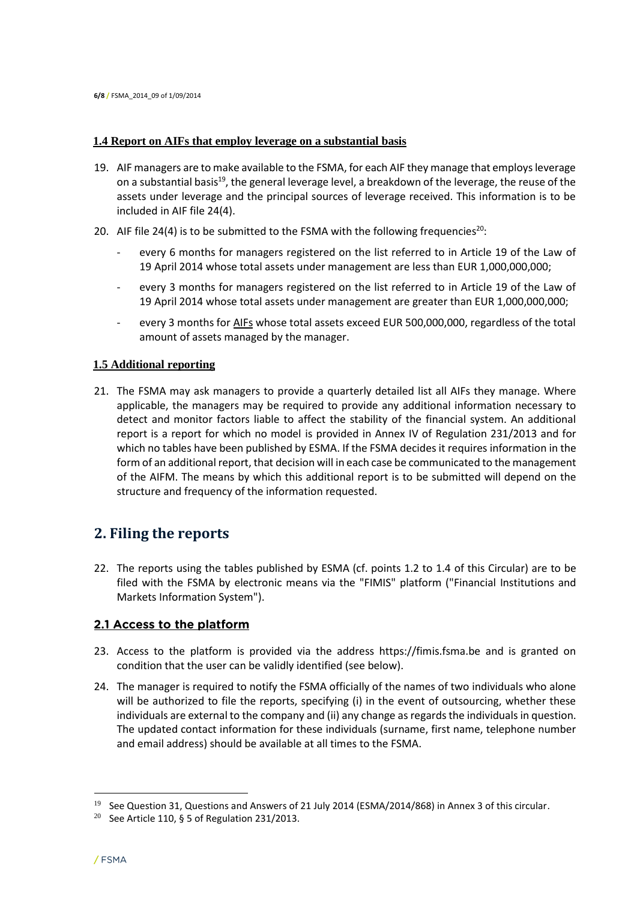#### **1.4 Report on AIFs that employ leverage on a substantial basis**

- 19. AIF managers are to make available to the FSMA, for each AIF they manage that employs leverage on a substantial basis<sup>19</sup>, the general leverage level, a breakdown of the leverage, the reuse of the assets under leverage and the principal sources of leverage received. This information is to be included in AIF file 24(4).
- 20. AIF file 24(4) is to be submitted to the FSMA with the following frequencies<sup>20</sup>:
	- every 6 months for managers registered on the list referred to in Article 19 of the Law of 19 April 2014 whose total assets under management are less than EUR 1,000,000,000;
	- every 3 months for managers registered on the list referred to in Article 19 of the Law of 19 April 2014 whose total assets under management are greater than EUR 1,000,000,000;
	- every 3 months for AIFs whose total assets exceed EUR 500,000,000, regardless of the total amount of assets managed by the manager.

#### **1.5 Additional reporting**

21. The FSMA may ask managers to provide a quarterly detailed list all AIFs they manage. Where applicable, the managers may be required to provide any additional information necessary to detect and monitor factors liable to affect the stability of the financial system. An additional report is a report for which no model is provided in Annex IV of Regulation 231/2013 and for which no tables have been published by ESMA. If the FSMA decides it requires information in the form of an additional report, that decision will in each case be communicated to the management of the AIFM. The means by which this additional report is to be submitted will depend on the structure and frequency of the information requested.

# **2. Filing the reports**

22. The reports using the tables published by ESMA (cf. points 1.2 to 1.4 of this Circular) are to be filed with the FSMA by electronic means via the "FIMIS" platform ("Financial Institutions and Markets Information System").

## 2.1 Access to the platform

- 23. Access to the platform is provided via the address https://fimis.fsma.be and is granted on condition that the user can be validly identified (see below).
- 24. The manager is required to notify the FSMA officially of the names of two individuals who alone will be authorized to file the reports, specifying (i) in the event of outsourcing, whether these individuals are external to the company and (ii) any change as regards the individuals in question. The updated contact information for these individuals (surname, first name, telephone number and email address) should be available at all times to the FSMA.

 $\overline{a}$ 

 $19$  See Question 31, Questions and Answers of 21 July 2014 (ESMA/2014/868) in Annex 3 of this circular.

<sup>&</sup>lt;sup>20</sup> See Article 110, § 5 of Regulation 231/2013.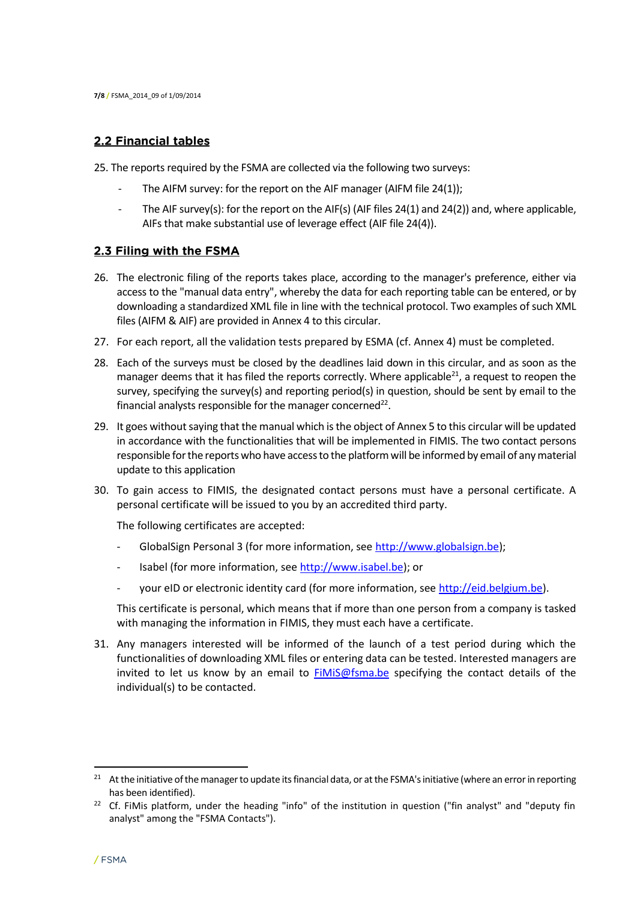#### 2.2 Financial tables

25. The reports required by the FSMA are collected via the following two surveys:

- The AIFM survey: for the report on the AIF manager (AIFM file 24(1));
- The AIF survey(s): for the report on the AIF(s) (AIF files 24(1) and 24(2)) and, where applicable, AIFs that make substantial use of leverage effect (AIF file 24(4)).

#### 2.3 Filing with the FSMA

- 26. The electronic filing of the reports takes place, according to the manager's preference, either via access to the "manual data entry", whereby the data for each reporting table can be entered, or by downloading a standardized XML file in line with the technical protocol. Two examples of such XML files (AIFM & AIF) are provided in Annex 4 to this circular.
- 27. For each report, all the validation tests prepared by ESMA (cf. Annex 4) must be completed.
- 28. Each of the surveys must be closed by the deadlines laid down in this circular, and as soon as the manager deems that it has filed the reports correctly. Where applicable $^{21}$ , a request to reopen the survey, specifying the survey(s) and reporting period(s) in question, should be sent by email to the financial analysts responsible for the manager concerned<sup>22</sup>.
- 29. It goes without saying that the manual which is the object of Annex 5 to this circular will be updated in accordance with the functionalities that will be implemented in FIMIS. The two contact persons responsible for the reports who have access to the platform will be informed by email of any material update to this application
- 30. To gain access to FIMIS, the designated contact persons must have a personal certificate. A personal certificate will be issued to you by an accredited third party.

The following certificates are accepted:

- GlobalSign Personal 3 (for more information, see [http://www.globalsign.be\)](http://www.globalsign.be/);
- Isabel (for more information, see [http://www.isabel.be\)](http://www.isabel.be/); or
- your eID or electronic identity card (for more information, see [http://eid.belgium.be\)](http://eid.belgium.be/).

This certificate is personal, which means that if more than one person from a company is tasked with managing the information in FIMIS, they must each have a certificate.

31. Any managers interested will be informed of the launch of a test period during which the functionalities of downloading XML files or entering data can be tested. Interested managers are invited to let us know by an email to [FiMiS@fsma.be](mailto:FiMiS@fsma.be) specifying the contact details of the individual(s) to be contacted.

<sup>&</sup>lt;sup>21</sup> At the initiative of the manager to update its financial data, or at the FSMA's initiative (where an error in reporting has been identified).

<sup>&</sup>lt;sup>22</sup> Cf. FiMis platform, under the heading "info" of the institution in question ("fin analyst" and "deputy fin analyst" among the "FSMA Contacts").